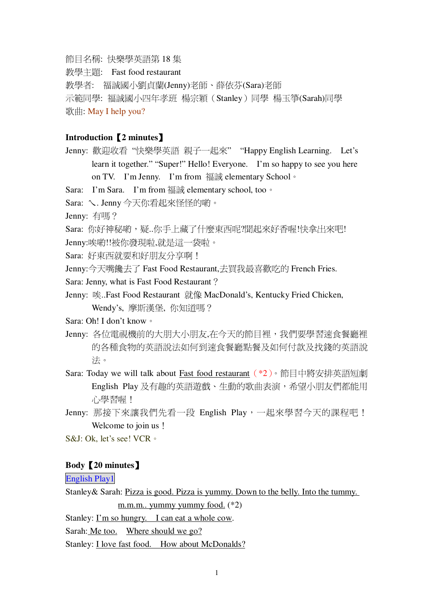節目名稱: 快樂學英語第 18 集

教學主題: Fast food restaurant

教學者: 福誠國小劉貞蘭(Jenny)老師、薛依芬(Sara)老師

示範同學: 福誠國小四年孝班 楊宗穎 (Stanley) 同學 楊玉箏(Sarah)同學

 $\frac{1}{2}$   $\frac{1}{2}$   $\frac{1}{2}$   $\frac{1}{2}$   $\frac{1}{2}$   $\frac{1}{2}$   $\frac{1}{2}$   $\frac{1}{2}$   $\frac{1}{2}$   $\frac{1}{2}$   $\frac{1}{2}$   $\frac{1}{2}$   $\frac{1}{2}$   $\frac{1}{2}$   $\frac{1}{2}$   $\frac{1}{2}$   $\frac{1}{2}$   $\frac{1}{2}$   $\frac{1}{2}$   $\frac{1}{2}$   $\frac{1}{2}$   $\frac{1}{2}$ 

## **Introduction2 minutes**-

- Jenny: 歡迎收看"快樂學英語 親子一起來" "Happy English Learning. Let's learn it together." "Super!" Hello! Everyone. I'm so happy to see you here on TV. I'm Jenny. I'm from 福誠 elementary School  $\circ$
- Sara: I'm Sara. I'm from  $\overline{m}$  if  $\overline{m}$  elementary school, too  $\circ$

Sara: \. Jenny 今天你看起來怪怪的喲。

Jenny: 有嗎?

Sara: 你好神秘喲,疑..你手上藏了什麼東西呢?聞起來好香喔!快拿出來吧!

Jenny:唉喲!!被你發現啦,就是這一袋啦。

Sara: 好東西就要和好朋友分享啊!

Jenny:今天嘴饞去了 Fast Food Restaurant,夫買我最喜歡吃的 French Fries.

Sara: Jenny, what is Fast Food Restaurant?

Jenny: 唉..Fast Food Restaurant 就像 MacDonald's, Kentucky Fried Chicken, Wendy's, 摩斯漢堡, 你知道嗎?

Sara: Oh! I don't know 。

- Jenny: 各位電視機前的大朋大小朋友,在今天的節目裡,我們要學習速食餐廳裡 的各種食物的英語說法如何到速食餐廳點餐及如何付款及找錢的英語說 洪。
- Sara: Today we will talk about <u>Fast food restaurant</u> (\*2)。節目中將安排英語短劇 English Play 及有趣的英語游戲、生動的歌曲表演,希望小朋友們都能用 心學習喔!
- Jenny: 那接下來讓我們先看一段 English Play,一起來學習今天的課程吧! Welcome to join us!

S&J: Ok, let's see! VCR 。

## **Body20 minutes**-

English Play1

Stanley& Sarah: Pizza is good. Pizza is yummy. Down to the belly. Into the tummy.

m.m.m.. yummy yummy food. (\*2)

Stanley: I'm so hungry. I can eat a whole cow.

Sarah: Me too. Where should we go?

Stanley: I love fast food. How about McDonalds?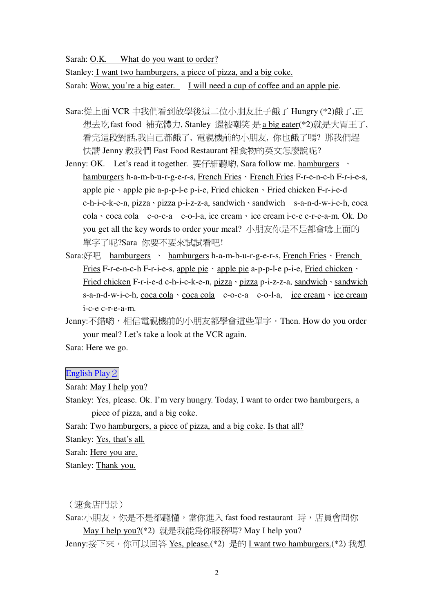Sarah: O.K. What do you want to order?

Stanley: I want two hamburgers, a piece of pizza, and a big coke. Sarah: Wow, you're a big eater. I will need a cup of coffee and an apple pie.

- Sara:從上面 VCR 中我們看到放學後這二位小朋友肚子餓了 Hungry (\*2)餓了,正 想去吃fast food 補充體力, Stanley 還被嘲笑 是 a big eater(\*2)就是大胃王了, 看完這段對話,我自己都餓了, 電視機前的小朋友, 你也餓了嗎? 那我們趕 快請 Jenny 教我們 Fast Food Restaurant 裡食物的英文怎麼說呢?
- Jenny: OK. Let's read it together. 要仔細聽喲, Sara follow me. hamburgers 、 hamburgers h-a-m-b-u-r-g-e-r-s, French Fries > French Fries F-r-e-n-c-h F-r-i-e-s, apple pie · apple pie a-p-p-l-e p-i-e, Fried chicken · Fried chicken F-r-i-e-d c-h-i-c-k-e-n, pizza · pizza p-i-z-z-a, sandwich · sandwich s-a-n-d-w-i-c-h, coca cola · coca cola c-o-c-a c-o-l-a, ice cream · ice cream i-c-e c-r-e-a-m. Ok. Do you get all the key words to order your meal? 小朋友你是不是都會唸上面的 單字了呢?Sara 你要不要來試試看吧!
- Sara:好吧 hamburgers 、 hamburgers h-a-m-b-u-r-g-e-r-s, French Fries 、 French Fries F-r-e-n-c-h F-r-i-e-s, apple pie · apple pie a-p-p-l-e p-i-e, Fried chicken · Fried chicken F-r-i-e-d c-h-i-c-k-e-n, pizza · pizza p-i-z-z-a, sandwich · sandwich s-a-n-d-w-i-c-h, coca cola · coca cola c-o-c-a c-o-l-a, ice cream · ice cream i-c-e c-r-e-a-m.
- Jenny:不錯喲,相信電視機前的小朋友都學會這些單字‧Then. How do you order your meal? Let's take a look at the VCR again.

Sara: Here we go.

English Play 2

Sarah: May I help you?

Stanley: Yes, please. Ok. I'm very hungry. Today, I want to order two hamburgers, a piece of pizza, and a big coke.

Sarah: Two hamburgers, a piece of pizza, and a big coke. Is that all?

Stanley: Yes, that's all.

Sarah: Here you are.

Stanley: Thank you.

( 涑食店門景 )

Sara:小朋友,你是不是都聽懂,當你進入 fast food restaurant 時,店員會問你 May I help you?(\*2) 就是我能為你服務嗎? May I help you? Jenny:接下來,你可以回答 Yes, please.(\*2) 是的 I want two hamburgers.(\*2) 我想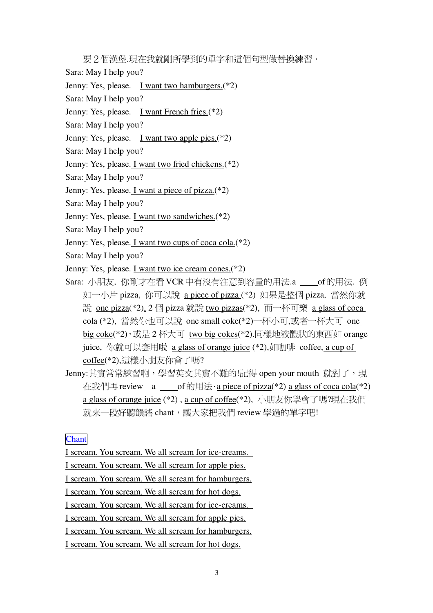要2個漢堡.現在我就剛所學到的單字和這個句型做替換練習 ·

Sara: May I help you?

Jenny: Yes, please. I want two hamburgers.<sup>(\*2)</sup>

Sara: May I help you?

Jenny: Yes, please. I want French fries. (\*2)

Sara: May I help you?

Jenny: Yes, please. I want two apple pies. $(*2)$ 

Sara: May I help you?

Jenny: Yes, please. I want two fried chickens.(\*2)

Sara: May I help you?

Jenny: Yes, please. *I want a piece of pizza.*<sup>(\*2)</sup>

Sara: May I help you?

Jenny: Yes, please. I want two sandwiches.(\*2)

Sara: May I help you?

Jenny: Yes, please. I want two cups of coca cola.(\*2)

Sara: May I help you?

Jenny: Yes, please. I want two ice cream cones. (\*2)

Sara: 小朋友, 你剛才在看 VCR 中有沒有注意到容量的用法.a \_\_\_\_of 的用法. 例 如一小片 pizza, 你可以說 a piece of pizza (\*2) 如果是整個 pizza, 當然你就 說 one pizza(\*2), 2 個 pizza 就說 two pizzas(\*2), 而一杯可樂 a glass of coca cola (\*2), 當然你也可以說 one small coke(\*2)一杯小可,或者一杯大可 one big coke(\*2), 或是 2 杯大可 two big cokes(\*2).同樣地液體狀的東西如 orange juice, 你就可以套用啦 a glass of orange juice (\*2),如咖啡 coffee, a cup of coffee(\*2),這樣小朋友你會了嗎?

Jenny:其實常常練習啊,學習英文其實不難的!記得 open your mouth 就對了,現 在我們再 review  $\alpha$  of 的用法 · a piece of pizza(\*2) a glass of coca cola(\*2) a glass of orange juice (\*2), a cup of coffee(\*2), 小朋友你學會了嗎?現在我們 就來一段好聽韻謠 chant, 讓大家把我們 review 學渦的單字吧!

**Chant** 

I scream. You scream. We all scream for ice-creams.

I scream. You scream. We all scream for apple pies.

I scream. You scream. We all scream for hamburgers.

I scream. You scream. We all scream for hot dogs.

I scream. You scream. We all scream for ice-creams.

I scream. You scream. We all scream for apple pies.

I scream. You scream. We all scream for hamburgers.

I scream. You scream. We all scream for hot dogs.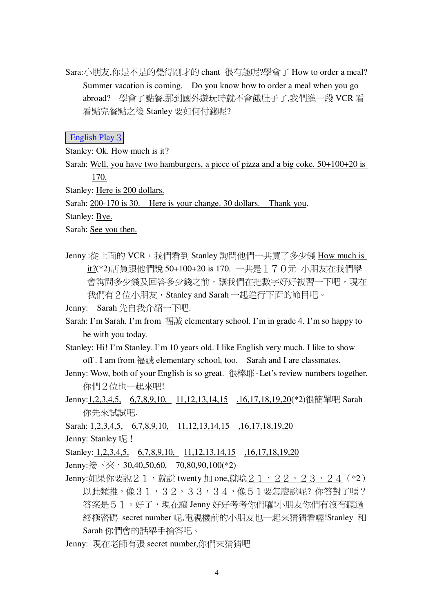Sara:小朋友,你是不是的覺得剛才的 chant 很有趣呢?學會了 How to order a meal? Summer vacation is coming. Do you know how to order a meal when you go abroad? 學會了點餐,那到國外遊玩時就不會餓肚子了,我們進一段 VCR 看 看點完餐點之後 Stanley 要如何付錢呢?

English Play 3

Stanley: Ok. How much is it?

Sarah: Well, you have two hamburgers, a piece of pizza and a big coke.  $50+100+20$  is  $170.$ 

Stanley: Here is 200 dollars.

Sarah: 200-170 is 30. Here is your change. 30 dollars. Thank you.

Stanley: Bye.

Sarah: See you then.

Jenny:從上面的 VCR, 我們看到 Stanley 詢問他們一共買了多少錢 How much is it?(\*2)店員跟他們說 50+100+20 is 170. 一共是 1 7 0 元 小朋友在我們學 會詢問多少錢及回答多少錢之前,讓我們在把數字好好複習一下吧,現在 我們有2位小朋友, Stanley and Sarah 一起進行下面的節目吧。

Jenny: Sarah 先自我介紹一下吧.

- Sarah: I'm Sarah. I'm from 福誠 elementary school. I'm in grade 4. I'm so happy to be with you today.
- Stanley: Hi! I'm Stanley. I'm 10 years old. I like English very much. I like to show off. I am from 福誠 elementary school, too. Sarah and I are classmates.
- Jenny: Wow, both of your English is so great. 很棒耶·Let's review numbers together. 你們2位也一起來吧!
- Jenny:1,2,3,4,5, 6,7,8,9,10, 11,12,13,14,15 ,16,17,18,19,20(\*2)很簡單吧 Sarah 你先來試試吧.

Sarah: 1,2,3,4,5, 6,7,8,9,10, 11,12,13,14,15 ,16,17,18,19,20 Jenny: Stanley 呢!

Stanley: 1,2,3,4,5, 6,7,8,9,10, 11,12,13,14,15 ,16,17,18,19,20

Jenny:接下來, 30,40,50,60, 70,80,90,100(\*2)

Jenny:如果你要說21,就說 twenty 加 one,就唸21, 22, 23, 24 (\*2) 以此類推,像31,32,33,34,像51要怎麼說呢?你答對了嗎? 答案是51。好了,現在讓 Jenny 好好考考你們囉!小朋友你們有沒有聽過 終極密碼 secret number 呢,電視機前的小朋友也一起來猜猜看喔!Stanley 和 Sarah 你們會的話舉手搶答吧。

Jenny: 現在老師有張 secret number,你們來猜猜吧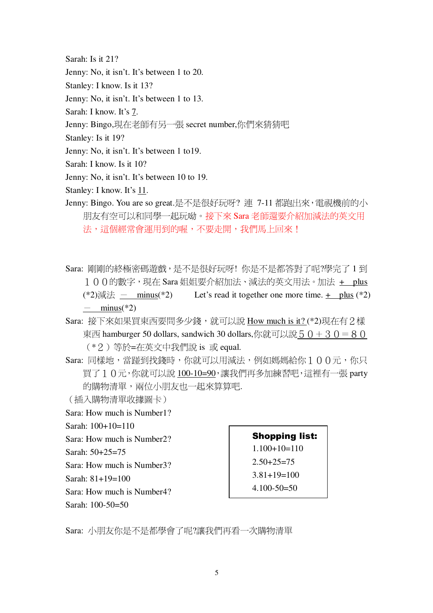Sarah: Is it 21?

Jenny: No, it isn't. It's between 1 to 20.

Stanley: I know. Is it 13?

Jenny: No, it isn't. It's between 1 to 13.

Sarah: I know. It's 7.

Jenny: Bingo,現在老師有另一張 secret number,你們來猜猜吧

Stanley: Is it 19?

Jenny: No, it isn't. It's between 1 to 19.

Sarah: I know. Is it 10?

Jenny: No, it isn't. It's between 10 to 19.

Stanley: I know. It's 11.

- Jenny: Bingo. You are so great.是不是很好玩呀? 連 7-11 都跑出來, 電視機前的小 朋友有空可以和同學一起玩呦。接下來 Sara 老師還要介紹加減法的英文用 法,這個經常會運用到的喔,不要走開,我們馬上回來!
- Sara: 剛剛的終極密碼遊戲,是不是很好玩呀! 你是不是都答對了呢?學完了 1 到 100的數字,現在 Sara姐姐要介紹加法、減法的英文用法。加法 + plus (\*2)減法 — minus(\*2) Let's read it together one more time.  $+$  plus (\*2)  $-$  minus(\*2)
- Sara: 接下來如果買東西要問多少錢, 就可以說 How much is it? (\*2)現在有2樣 東西 hamburger 50 dollars, sandwich 30 dollars,你就可以說 5 0 + 3 0 = 8 0 (\*2) 等於=在英文中我們說 is 或 equal.
- Sara: 同樣地, 當跡到找錢時, 你就可以用減法, 例如媽媽給你 1 0 0 元, 你只 買了10元,你就可以說100-10=90,讓我們再多加練習吧,這裡有一張 party 的購物清單,兩位小朋友也一起來算算吧.

(插入購物清單收據圖卡)

Sara: How much is Number1?

Sarah:  $100+10=110$ 

Sara: How much is Number2?

Sarah:  $50+25=75$ 

Sara: How much is Number 3?

Sarah:  $81+19=100$ 

Sara: How much is Number4?

Sarah: 100-50=50

**Shopping list:**  $1.100+10=110$  $2.50 + 25 = 75$  $3.81 + 19 = 100$  $4.100 - 50 = 50$ 

Sara: 小朋友你是不是都學會了呢?讓我們再看一次購物清單